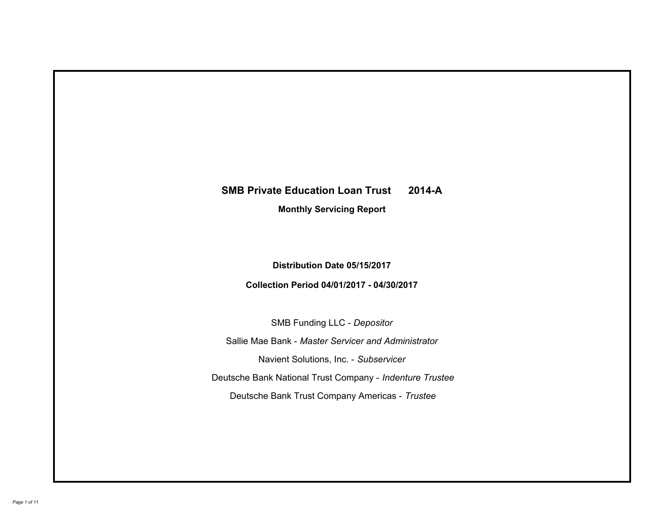# **SMB Private Education Loan Trust 2014-A Monthly Servicing Report**

# **Distribution Date 05/15/2017**

# **Collection Period 04/01/2017 - 04/30/2017**

SMB Funding LLC - *Depositor*

Sallie Mae Bank - *Master Servicer and Administrator*

Navient Solutions, Inc. - *Subservicer*

Deutsche Bank National Trust Company - *Indenture Trustee*

Deutsche Bank Trust Company Americas - *Trustee*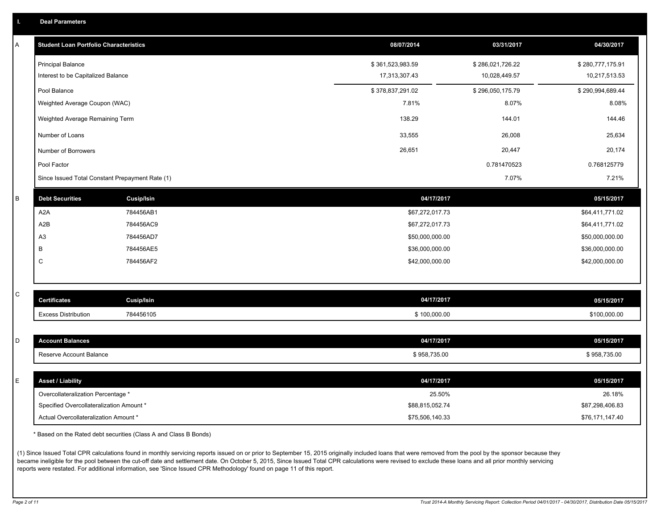|  | <b>Deal Parameters</b> |  |
|--|------------------------|--|
|  |                        |  |

| А | <b>Student Loan Portfolio Characteristics</b>   |                   | 08/07/2014       | 03/31/2017       | 04/30/2017       |
|---|-------------------------------------------------|-------------------|------------------|------------------|------------------|
|   | <b>Principal Balance</b>                        |                   | \$361,523,983.59 | \$286,021,726.22 | \$280,777,175.91 |
|   | Interest to be Capitalized Balance              |                   | 17,313,307.43    | 10,028,449.57    | 10,217,513.53    |
|   | Pool Balance                                    |                   | \$378,837,291.02 | \$296,050,175.79 | \$290,994,689.44 |
|   | Weighted Average Coupon (WAC)                   |                   | 7.81%            | 8.07%            | 8.08%            |
|   | Weighted Average Remaining Term                 |                   | 138.29           | 144.01           | 144.46           |
|   | Number of Loans                                 |                   | 33,555           | 26,008           | 25,634           |
|   | Number of Borrowers                             |                   | 26,651           | 20,447           | 20,174           |
|   | Pool Factor                                     |                   |                  | 0.781470523      | 0.768125779      |
|   | Since Issued Total Constant Prepayment Rate (1) |                   |                  | 7.07%            | 7.21%            |
| B | <b>Debt Securities</b>                          | <b>Cusip/Isin</b> | 04/17/2017       |                  | 05/15/2017       |
|   | A <sub>2</sub> A                                | 784456AB1         | \$67,272,017.73  |                  | \$64,411,771.02  |
|   | A <sub>2</sub> B                                | 784456AC9         | \$67,272,017.73  |                  | \$64,411,771.02  |
|   | A <sub>3</sub>                                  | 784456AD7         | \$50,000,000.00  |                  | \$50,000,000.00  |
|   | B                                               | 784456AE5         | \$36,000,000.00  |                  | \$36,000,000.00  |
|   | C                                               | 784456AF2         | \$42,000,000.00  |                  | \$42,000,000.00  |
|   |                                                 |                   |                  |                  |                  |
| С | <b>Certificates</b>                             | <b>Cusip/Isin</b> | 04/17/2017       |                  | 05/15/2017       |
|   | <b>Excess Distribution</b>                      | 784456105         | \$100,000.00     |                  | \$100,000.00     |
|   |                                                 |                   |                  |                  |                  |
| D | <b>Account Balances</b>                         |                   | 04/17/2017       |                  | 05/15/2017       |
|   | Reserve Account Balance                         |                   | \$958,735.00     |                  | \$958,735.00     |
|   |                                                 |                   |                  |                  |                  |
| E | <b>Asset / Liability</b>                        |                   | 04/17/2017       |                  | 05/15/2017       |
|   | Overcollateralization Percentage *              |                   | 25.50%           |                  | 26.18%           |
|   | Specified Overcollateralization Amount *        |                   | \$88,815,052.74  |                  | \$87,298,406.83  |
|   | Actual Overcollateralization Amount *           |                   | \$75,506,140.33  |                  | \$76,171,147.40  |

\* Based on the Rated debt securities (Class A and Class B Bonds)

(1) Since Issued Total CPR calculations found in monthly servicing reports issued on or prior to September 15, 2015 originally included loans that were removed from the pool by the sponsor because they became ineligible for the pool between the cut-off date and settlement date. On October 5, 2015, Since Issued Total CPR calculations were revised to exclude these loans and all prior monthly servicing reports were restated. For additional information, see 'Since Issued CPR Methodology' found on page 11 of this report.

*Page 2 of 11 Trust 2014-A Monthly Servicing Report: Collection Period 04/01/2017 - 04/30/2017, Distribution Date 05/15/2017*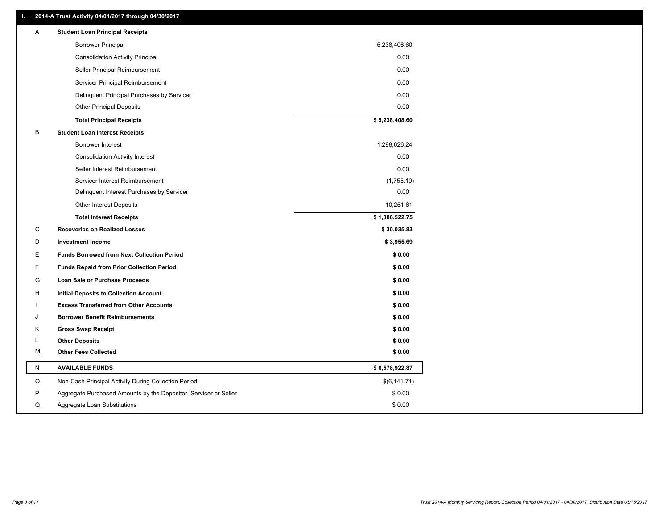### **II. 2014-A Trust Activity 04/01/2017 through 04/30/2017**

| Α         | <b>Student Loan Principal Receipts</b>                           |                |
|-----------|------------------------------------------------------------------|----------------|
|           | <b>Borrower Principal</b>                                        | 5,238,408.60   |
|           | <b>Consolidation Activity Principal</b>                          | 0.00           |
|           | Seller Principal Reimbursement                                   | 0.00           |
|           | Servicer Principal Reimbursement                                 | 0.00           |
|           | Delinquent Principal Purchases by Servicer                       | 0.00           |
|           | <b>Other Principal Deposits</b>                                  | 0.00           |
|           | <b>Total Principal Receipts</b>                                  | \$5,238,408.60 |
| В         | <b>Student Loan Interest Receipts</b>                            |                |
|           | Borrower Interest                                                | 1,298,026.24   |
|           | <b>Consolidation Activity Interest</b>                           | 0.00           |
|           | Seller Interest Reimbursement                                    | 0.00           |
|           | Servicer Interest Reimbursement                                  | (1,755.10)     |
|           | Delinquent Interest Purchases by Servicer                        | 0.00           |
|           | <b>Other Interest Deposits</b>                                   | 10,251.61      |
|           | <b>Total Interest Receipts</b>                                   | \$1,306,522.75 |
| C         | <b>Recoveries on Realized Losses</b>                             | \$30,035.83    |
| D         | <b>Investment Income</b>                                         | \$3,955.69     |
| Ε         | <b>Funds Borrowed from Next Collection Period</b>                | \$0.00         |
| F         | <b>Funds Repaid from Prior Collection Period</b>                 | \$0.00         |
| G         | Loan Sale or Purchase Proceeds                                   | \$0.00         |
| н         | Initial Deposits to Collection Account                           | \$0.00         |
|           | <b>Excess Transferred from Other Accounts</b>                    | \$0.00         |
| J         | <b>Borrower Benefit Reimbursements</b>                           | \$0.00         |
| Κ         | <b>Gross Swap Receipt</b>                                        | \$0.00         |
| L         | <b>Other Deposits</b>                                            | \$0.00         |
| м         | <b>Other Fees Collected</b>                                      | \$0.00         |
| ${\sf N}$ | <b>AVAILABLE FUNDS</b>                                           | \$6,578,922.87 |
| $\circ$   | Non-Cash Principal Activity During Collection Period             | \$(6,141.71)   |
| P         | Aggregate Purchased Amounts by the Depositor, Servicer or Seller | \$0.00         |
| Q         | Aggregate Loan Substitutions                                     | \$0.00         |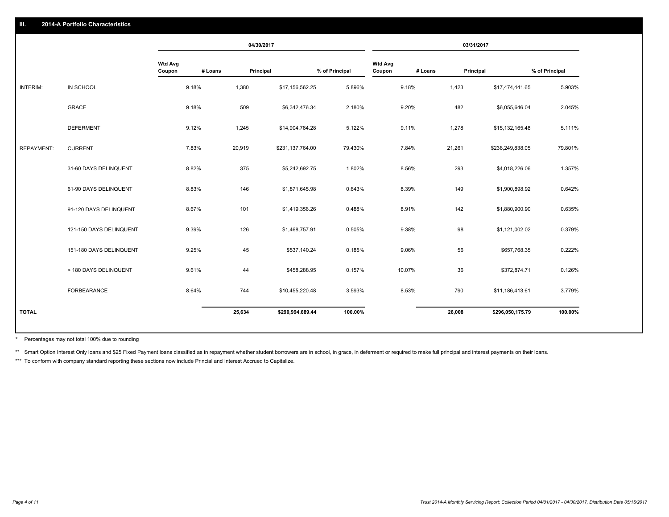|                   |                         |                          |         | 04/30/2017 |                  |                |                          |         | 03/31/2017 |                  |                |
|-------------------|-------------------------|--------------------------|---------|------------|------------------|----------------|--------------------------|---------|------------|------------------|----------------|
|                   |                         | <b>Wtd Avg</b><br>Coupon | # Loans | Principal  |                  | % of Principal | <b>Wtd Avg</b><br>Coupon | # Loans | Principal  |                  | % of Principal |
| INTERIM:          | IN SCHOOL               | 9.18%                    |         | 1,380      | \$17,156,562.25  | 5.896%         |                          | 9.18%   | 1,423      | \$17,474,441.65  | 5.903%         |
|                   | GRACE                   | 9.18%                    |         | 509        | \$6,342,476.34   | 2.180%         |                          | 9.20%   | 482        | \$6,055,646.04   | 2.045%         |
|                   | <b>DEFERMENT</b>        | 9.12%                    |         | 1,245      | \$14,904,784.28  | 5.122%         |                          | 9.11%   | 1,278      | \$15,132,165.48  | 5.111%         |
| <b>REPAYMENT:</b> | <b>CURRENT</b>          | 7.83%                    |         | 20,919     | \$231,137,764.00 | 79.430%        |                          | 7.84%   | 21,261     | \$236,249,838.05 | 79.801%        |
|                   | 31-60 DAYS DELINQUENT   | 8.82%                    |         | 375        | \$5,242,692.75   | 1.802%         |                          | 8.56%   | 293        | \$4,018,226.06   | 1.357%         |
|                   | 61-90 DAYS DELINQUENT   | 8.83%                    |         | 146        | \$1,871,645.98   | 0.643%         |                          | 8.39%   | 149        | \$1,900,898.92   | 0.642%         |
|                   | 91-120 DAYS DELINQUENT  | 8.67%                    |         | 101        | \$1,419,356.26   | 0.488%         |                          | 8.91%   | 142        | \$1,880,900.90   | 0.635%         |
|                   | 121-150 DAYS DELINQUENT | 9.39%                    |         | 126        | \$1,468,757.91   | 0.505%         |                          | 9.38%   | 98         | \$1,121,002.02   | 0.379%         |
|                   | 151-180 DAYS DELINQUENT | 9.25%                    |         | 45         | \$537,140.24     | 0.185%         |                          | 9.06%   | 56         | \$657,768.35     | 0.222%         |
|                   | > 180 DAYS DELINQUENT   | 9.61%                    |         | 44         | \$458,288.95     | 0.157%         |                          | 10.07%  | 36         | \$372,874.71     | 0.126%         |
|                   | FORBEARANCE             | 8.64%                    |         | 744        | \$10,455,220.48  | 3.593%         |                          | 8.53%   | 790        | \$11,186,413.61  | 3.779%         |
| <b>TOTAL</b>      |                         |                          |         | 25,634     | \$290,994,689.44 | 100.00%        |                          |         | 26,008     | \$296,050,175.79 | 100.00%        |
|                   |                         |                          |         |            |                  |                |                          |         |            |                  |                |

Percentages may not total 100% due to rounding \*

\*\* Smart Option Interest Only loans and \$25 Fixed Payment loans classified as in repayment whether student borrowers are in school, in grace, in deferment or required to make full principal and interest payments on their l

\*\*\* To conform with company standard reporting these sections now include Princial and Interest Accrued to Capitalize.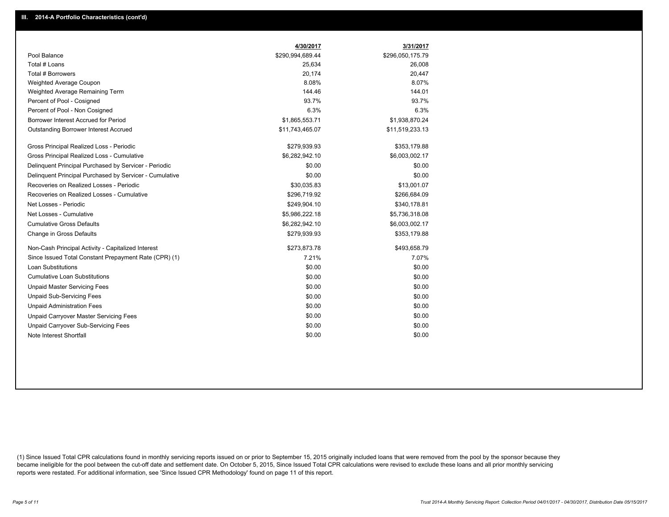|                                                         | 4/30/2017        | 3/31/2017        |
|---------------------------------------------------------|------------------|------------------|
| Pool Balance                                            | \$290,994,689.44 | \$296,050,175.79 |
| Total # Loans                                           | 25,634           | 26,008           |
| Total # Borrowers                                       | 20,174           | 20,447           |
| Weighted Average Coupon                                 | 8.08%            | 8.07%            |
| Weighted Average Remaining Term                         | 144.46           | 144.01           |
| Percent of Pool - Cosigned                              | 93.7%            | 93.7%            |
| Percent of Pool - Non Cosigned                          | 6.3%             | 6.3%             |
| Borrower Interest Accrued for Period                    | \$1,865,553.71   | \$1,938,870.24   |
| <b>Outstanding Borrower Interest Accrued</b>            | \$11,743,465.07  | \$11,519,233.13  |
| Gross Principal Realized Loss - Periodic                | \$279,939.93     | \$353,179.88     |
| Gross Principal Realized Loss - Cumulative              | \$6,282,942.10   | \$6,003,002.17   |
| Delinguent Principal Purchased by Servicer - Periodic   | \$0.00           | \$0.00           |
| Delinguent Principal Purchased by Servicer - Cumulative | \$0.00           | \$0.00           |
| Recoveries on Realized Losses - Periodic                | \$30,035.83      | \$13,001.07      |
| Recoveries on Realized Losses - Cumulative              | \$296,719.92     | \$266,684.09     |
| Net Losses - Periodic                                   | \$249,904.10     | \$340,178.81     |
| Net Losses - Cumulative                                 | \$5,986,222.18   | \$5,736,318.08   |
| <b>Cumulative Gross Defaults</b>                        | \$6,282,942.10   | \$6,003,002.17   |
| Change in Gross Defaults                                | \$279,939.93     | \$353,179.88     |
| Non-Cash Principal Activity - Capitalized Interest      | \$273,873.78     | \$493,658.79     |
| Since Issued Total Constant Prepayment Rate (CPR) (1)   | 7.21%            | 7.07%            |
| <b>Loan Substitutions</b>                               | \$0.00           | \$0.00           |
| <b>Cumulative Loan Substitutions</b>                    | \$0.00           | \$0.00           |
| <b>Unpaid Master Servicing Fees</b>                     | \$0.00           | \$0.00           |
| <b>Unpaid Sub-Servicing Fees</b>                        | \$0.00           | \$0.00           |
| <b>Unpaid Administration Fees</b>                       | \$0.00           | \$0.00           |
| <b>Unpaid Carryover Master Servicing Fees</b>           | \$0.00           | \$0.00           |
| <b>Unpaid Carryover Sub-Servicing Fees</b>              | \$0.00           | \$0.00           |
| Note Interest Shortfall                                 | \$0.00           | \$0.00           |

(1) Since Issued Total CPR calculations found in monthly servicing reports issued on or prior to September 15, 2015 originally included loans that were removed from the pool by the sponsor because they became ineligible for the pool between the cut-off date and settlement date. On October 5, 2015, Since Issued Total CPR calculations were revised to exclude these loans and all prior monthly servicing reports were restated. For additional information, see 'Since Issued CPR Methodology' found on page 11 of this report.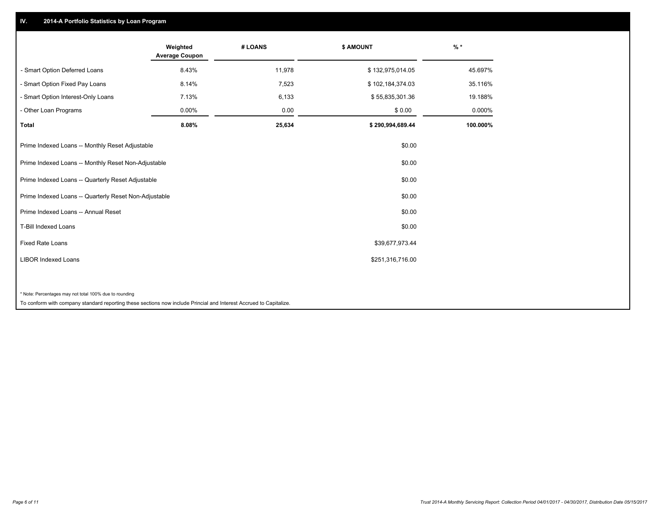## **IV. 2014-A Portfolio Statistics by Loan Program**

|                                                                                                                    | Weighted<br><b>Average Coupon</b> | # LOANS | <b>\$ AMOUNT</b> | $%$ *    |
|--------------------------------------------------------------------------------------------------------------------|-----------------------------------|---------|------------------|----------|
| - Smart Option Deferred Loans                                                                                      | 8.43%                             | 11,978  | \$132,975,014.05 | 45.697%  |
| - Smart Option Fixed Pay Loans                                                                                     | 8.14%                             | 7,523   | \$102,184,374.03 | 35.116%  |
| - Smart Option Interest-Only Loans                                                                                 | 7.13%                             | 6,133   | \$55,835,301.36  | 19.188%  |
| - Other Loan Programs                                                                                              | 0.00%                             | 0.00    | \$0.00           | 0.000%   |
| <b>Total</b>                                                                                                       | 8.08%                             | 25,634  | \$290,994,689.44 | 100.000% |
| Prime Indexed Loans -- Monthly Reset Adjustable                                                                    |                                   |         | \$0.00           |          |
| Prime Indexed Loans -- Monthly Reset Non-Adjustable                                                                |                                   |         | \$0.00           |          |
| Prime Indexed Loans -- Quarterly Reset Adjustable                                                                  |                                   |         | \$0.00           |          |
| Prime Indexed Loans -- Quarterly Reset Non-Adjustable                                                              |                                   |         | \$0.00           |          |
| Prime Indexed Loans -- Annual Reset                                                                                |                                   |         | \$0.00           |          |
| T-Bill Indexed Loans                                                                                               |                                   |         | \$0.00           |          |
| <b>Fixed Rate Loans</b>                                                                                            |                                   |         | \$39,677,973.44  |          |
| <b>LIBOR Indexed Loans</b>                                                                                         |                                   |         | \$251,316,716.00 |          |
|                                                                                                                    |                                   |         |                  |          |
| * Note: Percentages may not total 100% due to rounding                                                             |                                   |         |                  |          |
| To conform with company standard reporting these sections now include Princial and Interest Accrued to Capitalize. |                                   |         |                  |          |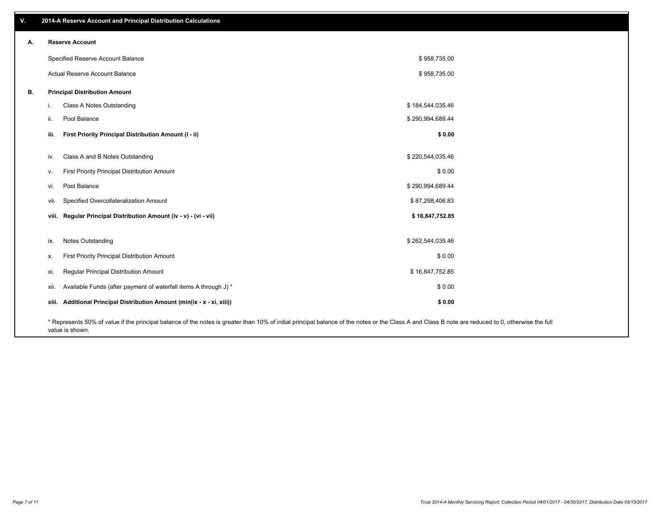| v. | 2014-A Reserve Account and Principal Distribution Calculations                                                                                                                                     |                  |  |
|----|----------------------------------------------------------------------------------------------------------------------------------------------------------------------------------------------------|------------------|--|
| А. | <b>Reserve Account</b>                                                                                                                                                                             |                  |  |
|    | Specified Reserve Account Balance                                                                                                                                                                  | \$958,735.00     |  |
|    | <b>Actual Reserve Account Balance</b>                                                                                                                                                              | \$958,735.00     |  |
| В. | <b>Principal Distribution Amount</b>                                                                                                                                                               |                  |  |
|    | Class A Notes Outstanding<br>i.                                                                                                                                                                    | \$184,544,035.46 |  |
|    | Pool Balance<br>ii.                                                                                                                                                                                | \$290,994,689.44 |  |
|    | First Priority Principal Distribution Amount (i - ii)<br>iii.                                                                                                                                      | \$0.00           |  |
|    | Class A and B Notes Outstanding<br>iv.                                                                                                                                                             | \$220,544,035.46 |  |
|    | First Priority Principal Distribution Amount<br>v.                                                                                                                                                 | \$0.00           |  |
|    | Pool Balance<br>vi.                                                                                                                                                                                | \$290,994,689.44 |  |
|    | Specified Overcollateralization Amount<br>vii.                                                                                                                                                     | \$87,298,406.83  |  |
|    | viii. Regular Principal Distribution Amount (iv - v) - (vi - vii)                                                                                                                                  | \$16,847,752.85  |  |
|    |                                                                                                                                                                                                    |                  |  |
|    | Notes Outstanding<br>ix.                                                                                                                                                                           | \$262,544,035.46 |  |
|    | First Priority Principal Distribution Amount<br>Х.                                                                                                                                                 | \$0.00           |  |
|    | Regular Principal Distribution Amount<br>xi.                                                                                                                                                       | \$16,847,752.85  |  |
|    | Available Funds (after payment of waterfall items A through J) *<br>xii.                                                                                                                           | \$0.00           |  |
|    | Additional Principal Distribution Amount (min(ix - x - xi, xiii))<br>xiii.                                                                                                                         | \$0.00           |  |
|    | * Represents 50% of value if the principal balance of the notes is greater than 10% of initial principal balance of the notes or the Class A and Class B note are reduced to 0, otherwise the full |                  |  |

value is shown.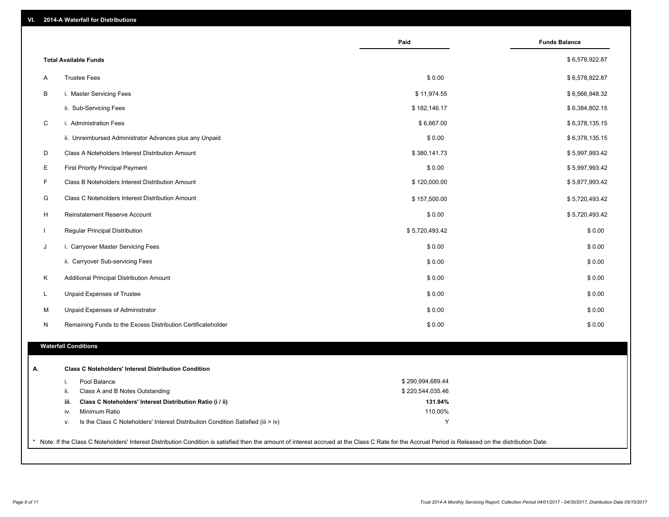| VI. |  | 2014-A Waterfall for Distributions |  |  |  |
|-----|--|------------------------------------|--|--|--|
|-----|--|------------------------------------|--|--|--|

|             |                                                                                        | Paid                                 | <b>Funds Balance</b> |
|-------------|----------------------------------------------------------------------------------------|--------------------------------------|----------------------|
|             | <b>Total Available Funds</b>                                                           |                                      | \$6,578,922.87       |
| A           | <b>Trustee Fees</b>                                                                    | \$0.00                               | \$6,578,922.87       |
| B           | i. Master Servicing Fees                                                               | \$11,974.55                          | \$6,566,948.32       |
|             | ii. Sub-Servicing Fees                                                                 | \$182,146.17                         | \$6,384,802.15       |
| $\mathsf C$ | i. Administration Fees                                                                 | \$6,667.00                           | \$6,378,135.15       |
|             | ii. Unreimbursed Administrator Advances plus any Unpaid                                | \$0.00                               | \$6,378,135.15       |
| D           | Class A Noteholders Interest Distribution Amount                                       | \$380,141.73                         | \$5,997,993.42       |
| E           | <b>First Priority Principal Payment</b>                                                | \$0.00                               | \$5,997,993.42       |
| F           | Class B Noteholders Interest Distribution Amount                                       | \$120,000.00                         | \$5,877,993.42       |
| G           | Class C Noteholders Interest Distribution Amount                                       | \$157,500.00                         | \$5,720,493.42       |
| H           | <b>Reinstatement Reserve Account</b>                                                   | \$0.00                               | \$5,720,493.42       |
|             | Regular Principal Distribution                                                         | \$5,720,493.42                       | \$0.00               |
| J           | i. Carryover Master Servicing Fees                                                     | \$0.00                               | \$0.00               |
|             | ii. Carryover Sub-servicing Fees                                                       | \$0.00                               | \$0.00               |
| K           | Additional Principal Distribution Amount                                               | \$0.00                               | \$0.00               |
| L           | Unpaid Expenses of Trustee                                                             | \$0.00                               | \$0.00               |
| м           | Unpaid Expenses of Administrator                                                       | \$0.00                               | \$0.00               |
| N           | Remaining Funds to the Excess Distribution Certificateholder                           | \$0.00                               | \$0.00               |
|             | <b>Waterfall Conditions</b>                                                            |                                      |                      |
|             |                                                                                        |                                      |                      |
|             | <b>Class C Noteholders' Interest Distribution Condition</b>                            |                                      |                      |
|             | Pool Balance<br>i.<br>ii.<br>Class A and B Notes Outstanding                           | \$290,994,689.44<br>\$220,544,035.46 |                      |
|             | iii.<br>Class C Noteholders' Interest Distribution Ratio (i / ii)                      | 131.94%                              |                      |
|             | Minimum Ratio<br>iv.                                                                   | 110.00%                              |                      |
|             | Is the Class C Noteholders' Interest Distribution Condition Satisfied (iii > iv)<br>ν. | Y                                    |                      |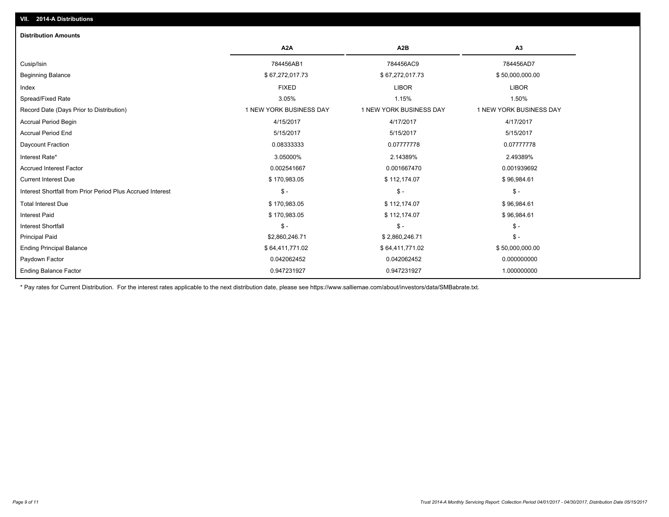| <b>Distribution Amounts</b>                                |                         |                         |                         |
|------------------------------------------------------------|-------------------------|-------------------------|-------------------------|
|                                                            | A <sub>2</sub> A        | A2B                     | A3                      |
| Cusip/Isin                                                 | 784456AB1               | 784456AC9               | 784456AD7               |
| <b>Beginning Balance</b>                                   | \$67,272,017.73         | \$67,272,017.73         | \$50,000,000.00         |
| Index                                                      | <b>FIXED</b>            | <b>LIBOR</b>            | <b>LIBOR</b>            |
| Spread/Fixed Rate                                          | 3.05%                   | 1.15%                   | 1.50%                   |
| Record Date (Days Prior to Distribution)                   | 1 NEW YORK BUSINESS DAY | 1 NEW YORK BUSINESS DAY | 1 NEW YORK BUSINESS DAY |
| <b>Accrual Period Begin</b>                                | 4/15/2017               | 4/17/2017               | 4/17/2017               |
| <b>Accrual Period End</b>                                  | 5/15/2017               | 5/15/2017               | 5/15/2017               |
| Daycount Fraction                                          | 0.08333333              | 0.07777778              | 0.07777778              |
| Interest Rate*                                             | 3.05000%                | 2.14389%                | 2.49389%                |
| <b>Accrued Interest Factor</b>                             | 0.002541667             | 0.001667470             | 0.001939692             |
| <b>Current Interest Due</b>                                | \$170,983.05            | \$112,174.07            | \$96,984.61             |
| Interest Shortfall from Prior Period Plus Accrued Interest | $\mathsf{\$}$ -         | $\mathsf{\$}$ -         | $\mathsf{\$}$ -         |
| <b>Total Interest Due</b>                                  | \$170,983.05            | \$112,174.07            | \$96,984.61             |
| <b>Interest Paid</b>                                       | \$170,983.05            | \$112,174.07            | \$96,984.61             |
| <b>Interest Shortfall</b>                                  | $\mathsf{\$}$ -         | $\mathsf{\$}$ -         | $\mathcal{S}$ -         |
| <b>Principal Paid</b>                                      | \$2,860,246.71          | \$2,860,246.71          | $\frac{2}{3}$ -         |
| <b>Ending Principal Balance</b>                            | \$64,411,771.02         | \$64,411,771.02         | \$50,000,000.00         |
| Paydown Factor                                             | 0.042062452             | 0.042062452             | 0.000000000             |
| <b>Ending Balance Factor</b>                               | 0.947231927             | 0.947231927             | 1.000000000             |

\* Pay rates for Current Distribution. For the interest rates applicable to the next distribution date, please see https://www.salliemae.com/about/investors/data/SMBabrate.txt.

**VII. 2014-A Distributions**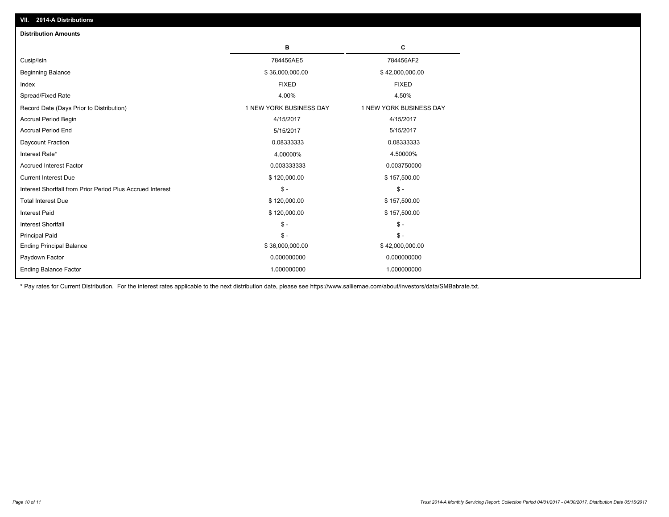| <b>Distribution Amounts</b>                                |                         |                         |
|------------------------------------------------------------|-------------------------|-------------------------|
|                                                            | в                       | C                       |
| Cusip/Isin                                                 | 784456AE5               | 784456AF2               |
| <b>Beginning Balance</b>                                   | \$36,000,000.00         | \$42,000,000.00         |
| Index                                                      | <b>FIXED</b>            | <b>FIXED</b>            |
| Spread/Fixed Rate                                          | 4.00%                   | 4.50%                   |
| Record Date (Days Prior to Distribution)                   | 1 NEW YORK BUSINESS DAY | 1 NEW YORK BUSINESS DAY |
| <b>Accrual Period Begin</b>                                | 4/15/2017               | 4/15/2017               |
| <b>Accrual Period End</b>                                  | 5/15/2017               | 5/15/2017               |
| Daycount Fraction                                          | 0.08333333              | 0.08333333              |
| Interest Rate*                                             | 4.00000%                | 4.50000%                |
| <b>Accrued Interest Factor</b>                             | 0.003333333             | 0.003750000             |
| <b>Current Interest Due</b>                                | \$120,000.00            | \$157,500.00            |
| Interest Shortfall from Prior Period Plus Accrued Interest | $\mathsf{\$}$ -         | $\mathsf{\$}$ -         |
| <b>Total Interest Due</b>                                  | \$120,000.00            | \$157,500.00            |
| <b>Interest Paid</b>                                       | \$120,000.00            | \$157,500.00            |
| <b>Interest Shortfall</b>                                  | $\mathsf{\$}$ -         | $\mathbb{S}$ –          |
| <b>Principal Paid</b>                                      | $\mathsf{\$}$ -         | $\mathbb{S}$ –          |
| <b>Ending Principal Balance</b>                            | \$36,000,000.00         | \$42,000,000.00         |
| Paydown Factor                                             | 0.000000000             | 0.000000000             |
| <b>Ending Balance Factor</b>                               | 1.000000000             | 1.000000000             |

\* Pay rates for Current Distribution. For the interest rates applicable to the next distribution date, please see https://www.salliemae.com/about/investors/data/SMBabrate.txt.

**VII. 2014-A Distributions**